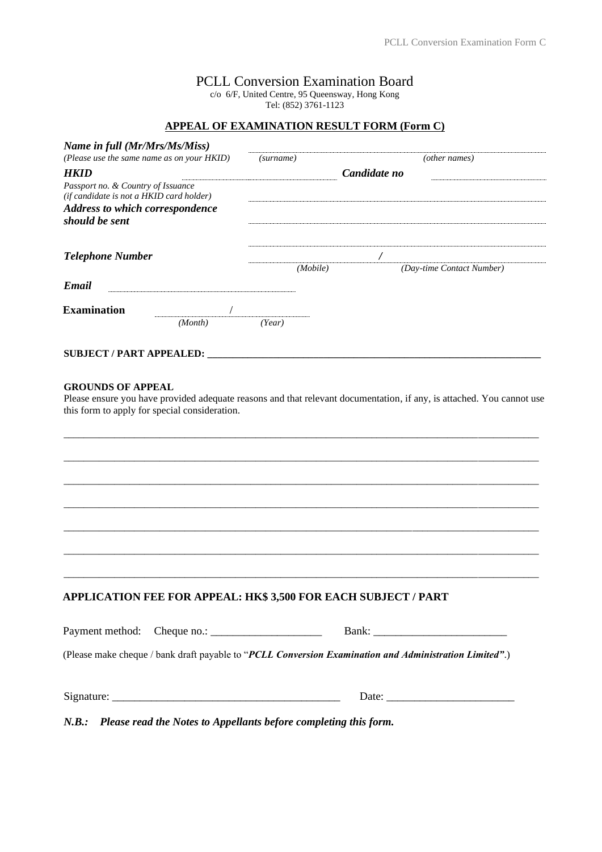## PCLL Conversion Examination Board

c/o 6/F, United Centre, 95 Queensway, Hong Kong

Tel: (852) 3761-1123

## **APPEAL OF EXAMINATION RESULT FORM (Form C)**

| Name in full (Mr/Mrs/Ms/Miss)<br>(Please use the same name as on your HKID)<br><b>HKID</b><br>Passport no. & Country of Issuance<br>(if candidate is not a HKID card holder)<br><b>Address to which correspondence</b><br>should be sent<br><b>Telephone Number</b> |                                                                                                                                         | (surname)                                         |  | (other names)                                                                                                         |  |
|---------------------------------------------------------------------------------------------------------------------------------------------------------------------------------------------------------------------------------------------------------------------|-----------------------------------------------------------------------------------------------------------------------------------------|---------------------------------------------------|--|-----------------------------------------------------------------------------------------------------------------------|--|
|                                                                                                                                                                                                                                                                     |                                                                                                                                         | Candidate no                                      |  |                                                                                                                       |  |
|                                                                                                                                                                                                                                                                     |                                                                                                                                         | $\prime$<br>(Day-time Contact Number)<br>(Mobile) |  |                                                                                                                       |  |
| Email                                                                                                                                                                                                                                                               |                                                                                                                                         |                                                   |  |                                                                                                                       |  |
| <b>Examination</b>                                                                                                                                                                                                                                                  | (Month)                                                                                                                                 | (Year)                                            |  |                                                                                                                       |  |
|                                                                                                                                                                                                                                                                     |                                                                                                                                         |                                                   |  |                                                                                                                       |  |
| this form to apply for special consideration.                                                                                                                                                                                                                       |                                                                                                                                         |                                                   |  | Please ensure you have provided adequate reasons and that relevant documentation, if any, is attached. You cannot use |  |
| APPLICATION FEE FOR APPEAL: HK\$ 3,500 FOR EACH SUBJECT / PART                                                                                                                                                                                                      |                                                                                                                                         |                                                   |  |                                                                                                                       |  |
|                                                                                                                                                                                                                                                                     |                                                                                                                                         |                                                   |  |                                                                                                                       |  |
| Payment method:                                                                                                                                                                                                                                                     | Cheque no.: $\sqrt{\frac{2}{1-\frac{1}{2}} \cdot \frac{1}{2-\frac{1}{2}} \cdot \frac{1}{2-\frac{1}{2}} \cdot \frac{1}{2-\frac{1}{2}}}}$ |                                                   |  | (Please make cheque / bank draft payable to "PCLL Conversion Examination and Administration Limited".)                |  |
|                                                                                                                                                                                                                                                                     |                                                                                                                                         |                                                   |  |                                                                                                                       |  |
|                                                                                                                                                                                                                                                                     |                                                                                                                                         |                                                   |  |                                                                                                                       |  |

*N.B.: Please read the Notes to Appellants before completing this form.*